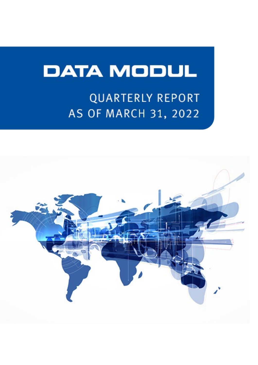# **DATA MODUL**

## **QUARTERLY REPORT AS OF MARCH 31, 2022**

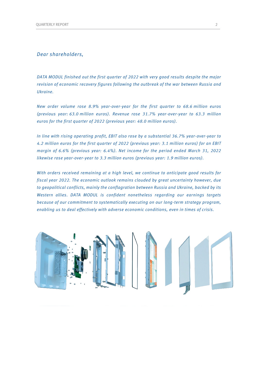#### *Dear shareholders,*

*DATA MODUL finished out the first quarter of 2022 with very good results despite the major revision of economic recovery figures following the outbreak of the war between Russia and Ukraine.*

*New order volume rose 8.9% year-over-year for the first quarter to 68.6 million euros (previous year: 63.0 million euros). Revenue rose 31.7% year-over-year to 63.3 million euros for the first quarter of 2022 (previous year: 48.0 million euros).*

*In line with rising operating profit, EBIT also rose by a substantial 36.7% year-over-year to 4.2 million euros for the first quarter of 2022 (previous year: 3.1 million euros) for an EBIT margin of 6.6% (previous year: 6.4%). Net income for the period ended March 31, 2022 likewise rose year-over-year to 3.3 million euros (previous year: 1.9 million euros).*

*With orders received remaining at a high level, we continue to anticipate good results for fiscal year 2022. The economic outlook remains clouded by great uncertainty however, due to geopolitical conflicts, mainly the conflagration between Russia and Ukraine, backed by its Western allies. DATA MODUL is confident nonetheless regarding our earnings targets because of our commitment to systematically executing on our long-term strategy program, enabling us to deal effectively with adverse economic conditions, even in times of crisis.*

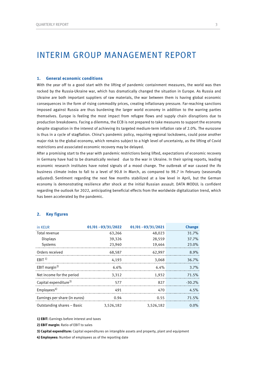### INTERIM GROUP MANAGEMENT REPORT

#### **1. General economic conditions**

With the year off to a good start with the lifting of pandemic containment measures, the world was then rocked by the Russia-Ukraine war, which has dramatically changed the situation in Europe. As Russia and Ukraine are both important suppliers of raw materials, the war between them is having global economic consequences in the form of rising commodity prices, creating inflationary pressure. Far-reaching sanctions imposed against Russia are thus burdening the larger world economy in addition to the warring parties themselves. Europe is feeling the most impact from refugee flows and supply chain disruptions due to production breakdowns. Facing a dilemma, the ECB is not prepared to take measures to support the economy despite stagnation in the interest of achieving its targeted medium-term inflation rate of 2.0%. The eurozone is thus in a cycle of stagflation. China's pandemic policy, requiring regional lockdowns, could pose another major risk to the global economy, which remains subject to a high level of uncertainty, as the lifting of Covid restrictions and associated economic recovery may be delayed.

After a promising start to the year with pandemic restrictions being lifted, expectations of economic recovery in Germany have had to be dramatically revised due to the war in Ukraine. In their spring reports, leading economic research institutes have noted signals of a mood change. The outbreak of war caused the ifo business climate index to fall to a level of 90.8 in March, as compared to 98.7 in February (seasonally adjusted). Sentiment regarding the next few months stabilized at a low level in April, but the German economy is demonstrating resilience after shock at the initial Russian assault. DATA MODUL is confident regarding the outlook for 2022, anticipating beneficial effects from the worldwide digitalization trend, which has been accelerated by the pandemic.

| in KEUR                           |           | $01/01 - 03/31/2022$ $01/01 - 03/31/2021$ | <b>Change</b> |
|-----------------------------------|-----------|-------------------------------------------|---------------|
| Total revenue                     | 63.266    | 48,023                                    | 31.7%         |
| <b>Displays</b>                   | 39.326    | 28.559                                    | 37.7%         |
| Systems                           | 23,940    | 19.464                                    | 23.0%         |
| Orders received                   | 68,587    | 62.997                                    | 8.9%          |
| $F$ RIT <sup>1)</sup>             | 4.193     | 3.068                                     | 36.7%         |
| EBIT margin <sup>2)</sup>         | 6.6%      | 6.4%                                      | 3.7%          |
| Net income for the period         | 3.312     | 1.932                                     | 71.5%         |
| Capital expenditure <sup>3)</sup> | 577       | 827                                       | $-30.2%$      |
| Emplovees <sup>4</sup>            | 491       | 470                                       | $4.5\%$       |
| Earnings per share (in euros)     | 0.94      | 0.55                                      | 71.5%         |
| Outstanding shares - Basic        | 3.526.182 | 3,526,182                                 | $0.0\%$       |

#### **2. Key figures**

**1) EBIT:** Earnings before interest and taxes

**2) EBIT margin:** Ratio of EBIT to sales

**3) Capital expenditure:** Capital expenditures on intangible assets and property, plant and equipment

**4) Employees:** Number of employees as of the reporting date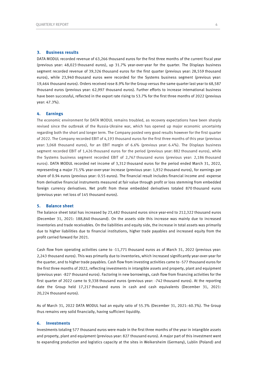#### **3. Business results**

DATA MODUL recorded revenue of 63,266 thousand euros for the first three months of the current fiscal year (previous year: 48,023 thousand euros), up 31.7% year-over-year for the quarter. The Displays business segment recorded revenue of 39,326 thousand euros for the first quarter (previous year: 28,559 thousand euros), while 23,940 thousand euros were recorded for the Systems business segment (previous year: 19,464 thousand euros). Orders received rose 8.9% for the Group versus the same quarter last year to 68,587 thousand euros (previous year: 62,997 thousand euros). Further efforts to increase international business have been successful, reflected in the export rate rising to 53.7% for the first three months of 2022 (previous year: 47.3%).

#### **4. Earnings**

The economic environment for DATA MODUL remains troubled, as recovery expectations have been sharply revised since the outbreak of the Russia-Ukraine war, which has opened up major economic uncertainty regarding both the short and longer term. The Company posted very good results however for the first quarter of 2022. The Company recorded EBIT of 4,193 thousand euros for the first three months of this year (previous year: 3,068 thousand euros), for an EBIT margin of 6.6% (previous year: 6.4%). The Displays business segment recorded EBIT of 1,426 thousand euros for the period (previous year: 882 thousand euros), while the Systems business segment recorded EBIT of 2,767 thousand euros (previous year: 2,186 thousand euros). DATA MODUL recorded net income of 3,312 thousand euros for the period ended March 31, 2022, representing a major 71.5% year-over-year increase (previous year: 1,932 thousand euros), for earnings per share of 0.94 euros (previous year: 0.55 euros). The financial result includes financial income and -expense from derivative financial instruments measured at fair value through profit or loss stemming from embedded foreign currency derivatives. Net profit from these embedded derivatives totaled 870 thousand euros (previous year: net loss of 145 thousand euros).

#### **5. Balance sheet**

The balance sheet total has increased by 23,482 thousand euros since year-end to 212,322 thousand euros (December 31, 2021: 188,840 thousand). On the assets side this increase was mainly due to increased inventories and trade receivables. On the liabilities and equity side, the increase in total assets was primarily due to higher liabilities due to financial institutions, higher trade payables and increased equity from the profit carried forward for 2021.

Cash flow from operating activities came to -11,771 thousand euros as of March 31, 2022 (previous year: 2,243 thousand euros). This was primarily due to inventories, which increased significantly year-over-year for the quarter, and to higher trade payables. Cash flow from investing activities came to -577 thousand euros for the first three months of 2022, reflecting investments in intangible assets and property, plant and equipment (previous year: -827 thousand euros). Factoring in new borrowings, cash flow from financing activities for the first quarter of 2022 came to 9,338 thousand euros (previous year: -742 thousand euros). At the reporting date the Group held 17,217 thousand euros in cash and cash equivalents (December 31, 2021: 20,224 thousand euros).

As of March 31, 2022 DATA MODUL had an equity ratio of 55.3% (December 31, 2021: 60.3%). The Group thus remains very solid financially, having sufficient liquidity.

#### **6. Investments**

Investments totaling 577 thousand euros were made in the first three months of the year in intangible assets and property, plant and equipment (previous year: 827 thousand euros). A major part of this investment went to expanding production and logistics capacity at the sites in Weikersheim (Germany), Lublin (Poland) and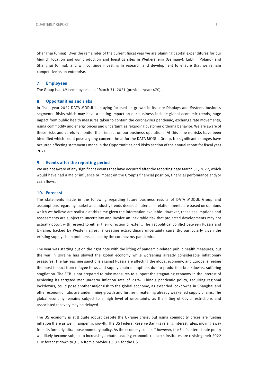Shanghai (China). Over the remainder of the current fiscal year we are planning capital expenditures for our Munich location and our production and logistics sites in Weikersheim (Germany), Lublin (Poland) and Shanghai (China), and will continue investing in research and development to ensure that we remain competitive as an enterprise.

#### **7. Employees**

The Group had 491 employees as of March 31, 2021 (previous year: 470).

#### **8. Opportunities and risks**

In fiscal year 2022 DATA MODUL is staying focused on growth in its core Displays and Systems business segments. Risks which may have a lasting impact on our business include global economic trends, huge impact from public health measures taken to contain the coronavirus pandemic, exchange rate movements, rising commodity and energy prices and uncertainties regarding customer ordering behavior. We are aware of these risks and carefully monitor their impact on our business operations. At this time no risks have been identified which could pose a going-concern threat for the DATA MODUL Group. No significant changes have occurred affecting statements made in the Opportunities and Risks section of the annual report for fiscal year 2021.

#### **9. Events after the reporting period**

We are not aware of any significant events that have occurred after the reporting date March 31, 2022, which would have had a major influence or impact on the Group's financial position, financial performance and/or cash flows.

#### **10. Forecast**

The statements made in the following regarding future business results of DATA MODUL Group and assumptions regarding market and industry trends deemed material in relation thereto are based on opinions which we believe are realistic at this time given the information available. However, these assumptions and assessments are subject to uncertainty and involve an inevitable risk that projected developments may not actually occur, with respect to either their direction or extent. The geopolitical conflict between Russia and Ukraine, backed by Western allies, is creating extraordinary uncertainty currently, particularly given the existing supply chain problems caused by the coronavirus pandemic.

The year was starting out on the right note with the lifting of pandemic-related public health measures, but the war in Ukraine has slowed the global economy while worsening already considerable inflationary pressures. The far-reaching sanctions against Russia are affecting the global economy, and Europe is feeling the most impact from refugee flows and supply chain disruptions due to production breakdowns, suffering stagflation. The ECB is not prepared to take measures to support the stagnating economy in the interest of achieving its targeted medium-term inflation rate of 2.0%. China's pandemic policy, requiring regional lockdowns, could pose another major risk to the global economy, as extended lockdowns in Shanghai and other economic hubs are undermining growth and further threatening already weakened supply chains. The global economy remains subject to a high level of uncertainty, as the lifting of Covid restrictions and associated recovery may be delayed.

The US economy is still quite robust despite the Ukraine crisis, but rising commodity prices are fueling inflation there as well, hampering growth. The US Federal Reserve Bank is raising interest rates, moving away from its formerly ultra-loose monetary policy. As the economy cools off however, the Fed's interest rate policy will likely become subject to increasing debate. Leading economic research institutes are revising their 2022 GDP forecast down to 3.3% from a previous 3.8% for the US.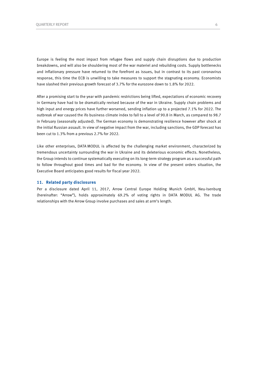Europe is feeling the most impact from refugee flows and supply chain disruptions due to production breakdowns, and will also be shouldering most of the war materiel and rebuilding costs. Supply bottlenecks and inflationary pressure have returned to the forefront as issues, but in contrast to its past coronavirus response, this time the ECB is unwilling to take measures to support the stagnating economy. Economists have slashed their previous growth forecast of 3.7% for the eurozone down to 1.8% for 2022.

After a promising start to the year with pandemic restrictions being lifted, expectations of economic recovery in Germany have had to be dramatically revised because of the war in Ukraine. Supply chain problems and high input and energy prices have further worsened, sending inflation up to a projected 7.1% for 2022. The outbreak of war caused the ifo business climate index to fall to a level of 90.8 in March, as compared to 98.7 in February (seasonally adjusted). The German economy is demonstrating resilience however after shock at the initial Russian assault. In view of negative impact from the war, including sanctions, the GDP forecast has been cut to 1.3% from a previous 2.7% for 2022.

Like other enterprises, DATA MODUL is affected by the challenging market environment, characterized by tremendous uncertainty surrounding the war in Ukraine and its deleterious economic effects. Nonetheless, the Group intends to continue systematically executing on its long-term strategy program as a successful path to follow throughout good times and bad for the economy. In view of the present orders situation, the Executive Board anticipates good results for fiscal year 2022.

#### **11. Related party disclosures**

Per a disclosure dated April 11, 2017, Arrow Central Europe Holding Munich GmbH, Neu-Isenburg (hereinafter: "Arrow"), holds approximately 69.2% of voting rights in DATA MODUL AG. The trade relationships with the Arrow Group involve purchases and sales at arm's length.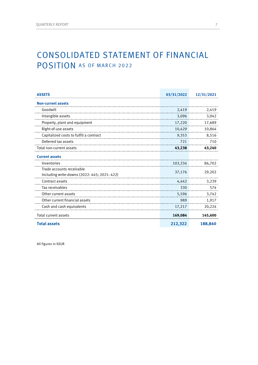### CONSOLIDATED STATEMENT OF FINANCIAL POSITION AS OF MARCH 2022

| <b>ASSETS</b>                                                             | 03/31/2022 | 12/31/2021 |
|---------------------------------------------------------------------------|------------|------------|
| <b>Non-current assets</b>                                                 |            |            |
| Goodwill                                                                  | 2,419      | 2,419      |
| Intangible assets                                                         | 3,096      | 3,042      |
| Property, plant and equipment                                             | 17,220     | 17,689     |
| Right-of-use assets                                                       | 10,429     | 10,864     |
| Capitalized costs to fulfill a contract                                   | 9,353      | 8,516      |
| Deferred tax assets                                                       | 721        | 710        |
| Total non-current assets                                                  | 43,238     | 43,240     |
| <b>Current assets</b>                                                     |            |            |
| Inventories                                                               | 103,334    | 86,702     |
| Trade accounts receivable<br>Including write-downs (2022: 445; 2021: 422) | 37,176     | 29,202     |
| Contract assets                                                           | 4,442      | 3,239      |
| Tax receivables                                                           | 330        | 574        |
| Other current assets                                                      | 5,596      | 3,742      |
| Other current financial assets                                            | 989        | 1,917      |
| Cash and cash equivalents                                                 | 17,217     | 20,224     |
| <b>Total current assets</b>                                               | 169,084    | 145,600    |
| <b>Total assets</b>                                                       | 212,322    | 188,840    |

All figures in KEUR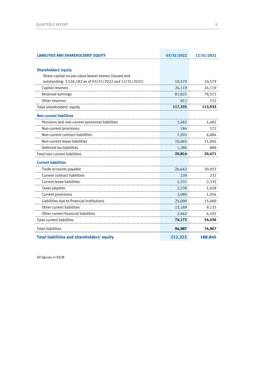| <b>LIABILITIES AND SHAREHOLDERS' EQUITY</b>             | 03/31/2022 | 12/31/2021 |
|---------------------------------------------------------|------------|------------|
|                                                         |            |            |
| <b>Shareholders' equity</b>                             |            |            |
| Share capital no-par value bearer shares (issued and    |            |            |
| outstanding: 3,526,182 as of 03/31/2022 and 12/31/2021) | 10,579     | 10,579     |
| Capital reserves                                        | 24,119     | 24,119     |
| Retained earnings                                       | 81,825     | 78,513     |
| Other reserves                                          | 812        | 722        |
| Total shareholders' equity                              | 117,335    | 113,933    |
| <b>Non-current liabilities</b>                          |            |            |
| Pensions and non-current personnel liabilities          | 1,482      | 1,482      |
| Non-current provisions                                  | 184        | 171        |
| Non-current contract liabilities                        | 7,203      | 6,884      |
| Non-current lease liabilities                           | 10,665     | 11,045     |
| Deferred tax liabilities                                | 1,280      | 889        |
| Total non-current liabilities                           | 20,814     | 20,471     |
| <b>Current liabilities</b>                              |            |            |
| Trade accounts payable                                  | 26,642     | 20,953     |
| <b>Current contract liabilities</b>                     | 239        | 232        |
| Current lease liabilities                               | 2,331      | 2,335      |
| Taxes payable                                           | 2,230      | 1,628      |
| <b>Current provisions</b>                               | 2,080      | 1,054      |
| Liabilities due to financial institutions               | 25,000     | 15,000     |
| Other current liabilities                               | 13,189     | 9,133      |
| Other current financial liabilities                     | 2,462      | 4,101      |
| <b>Total current liabilities</b>                        | 74,173     | 54,436     |
| <b>Total liabilities</b>                                | 94,987     | 74,907     |
| <b>Total liabilities and shareholders' equity</b>       | 212,322    | 188,840    |

All figures in KEUR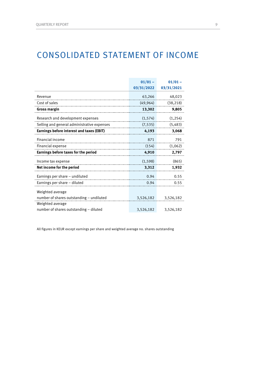### CONSOLIDATED STATEMENT OF INCOME

|                                                            | $01/01 -$  | $01/01 -$  |
|------------------------------------------------------------|------------|------------|
|                                                            | 03/31/2022 | 03/31/2021 |
| Revenue                                                    | 63,266     | 48,023     |
| Cost of sales                                              | (49, 964)  | (38, 218)  |
| Gross margin                                               | 13,302     | 9,805      |
| Research and development expenses                          | (1, 574)   | (1, 254)   |
| Selling and general administrative expenses                | (7, 535)   | (5, 483)   |
| Earnings before interest and taxes (EBIT)                  | 4,193      | 3,068      |
| Financial income                                           | 871        | 791        |
| Financial expense                                          | (154)      | (1,062)    |
| Earnings before taxes for the period                       | 4,910      | 2,797      |
| Income tax expense                                         | (1, 598)   | (865)      |
| Net income for the period                                  | 3,312      | 1,932      |
| Earnings per share – undiluted                             | 0.94       | 0.55       |
| Earnings per share - diluted                               | 0.94       | 0.55       |
| Weighted average                                           |            |            |
| number of shares outstanding - undiluted                   | 3,526,182  | 3,526,182  |
| Weighted average<br>number of shares outstanding - diluted | 3,526,182  | 3,526,182  |
|                                                            |            |            |

All figures in KEUR except earnings per share and weighted average no. shares outstanding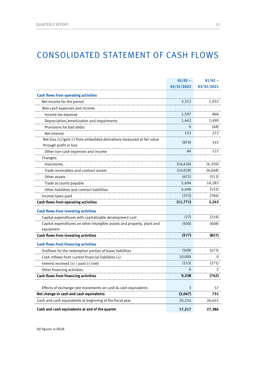### CONSOLIDATED STATEMENT OF CASH FLOWS

|                                                                         | $01/01 -$  | $01/01 -$  |
|-------------------------------------------------------------------------|------------|------------|
|                                                                         | 03/31/2022 | 03/31/2021 |
| <b>Cash flows from operating activities</b>                             |            |            |
| Net income for the period                                               | 3,312      | 1,932      |
| Non-cash expenses and income                                            |            |            |
| Income tax expense                                                      | 1,597      | 868        |
| Depreciation/amortization and impairments                               | 1,462      | 1,490      |
| Provisions for bad debts                                                | 0          | (48)       |
| Net interest                                                            | 153        | 272        |
| Net loss (+)/gain (-) from embedded derivatives measured at fair value  |            |            |
| through profit or loss                                                  | (870)      | 145        |
| Other non-cash expenses and income                                      | 84         | 127        |
| Changes:                                                                |            |            |
| Inventories                                                             | (16, 626)  | (4, 350)   |
| Trade receivables and contract assets                                   | (10, 029)  | (6, 648)   |
| Other assets                                                            | (671)      | (512)      |
| Trade accounts payable                                                  | 5,694      | 10,283     |
| Other liabilities and contract liabilities                              | 4,496      | (532)      |
| Income taxes paid                                                       | (373)      | (784)      |
| <b>Cash flows from operating activities</b>                             | (11, 771)  | 2,243      |
| <b>Cash flows from investing activities</b>                             |            |            |
| Capital expenditures with capitalizable development cost                | (77)       | (219)      |
| Capital expenditures on other intangible assets and property, plant and | (500)      | (608)      |
| equipment                                                               |            |            |
| Cash flows from investing activities                                    | (577)      | (827)      |
| <b>Cash flows from financing activities</b>                             |            |            |
| Outflows for the redemption portion of lease liabilities                | (509)      | (473)      |
| Cash inflows from current financial liabilities (+)                     | 10,000     | O          |
| Interest received $(+)$ / paid $(.)$ (net)                              | (153)      | (271)      |
| Other financing activities                                              | 0          | 2          |
| <b>Cash flows from financing activities</b>                             | 9,338      | (742)      |
|                                                                         |            |            |
| Effects of exchange rate movements on cash & cash equivalents           | 3          | 57         |
| Net change in cash and cash equivalents                                 | (3,007)    | 731        |
| Cash and cash equivalents at beginning of the fiscal year               | 20,224     | 26,655     |
| Cash and cash equivalents at end of the quarter                         | 17,217     | 27,386     |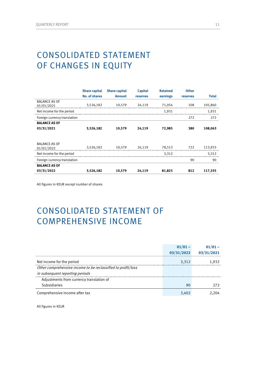### CONSOLIDATED STATEMENT OF CHANGES IN EQUITY

|                                    | <b>Share capital</b> | <b>Share capital</b> | <b>Capital</b> | <b>Retained</b> | <b>Other</b>    |              |
|------------------------------------|----------------------|----------------------|----------------|-----------------|-----------------|--------------|
|                                    | <b>No. of shares</b> | <b>Amount</b>        | reserves       | earnings        | <b>reserves</b> | <b>Total</b> |
| <b>BALANCE AS OF</b><br>01/01/2021 | 3,526,182            | 10,579               | 24,119         | 71,054          | 108             | 105,860      |
| Net income for the period          |                      |                      |                | 1,931           |                 | 1,931        |
| Foreign currency translation       |                      |                      |                |                 | 272             | 272          |
| <b>BALANCE AS OF</b>               |                      |                      |                |                 |                 |              |
| 03/31/2021                         | 3,526,182            | 10,579               | 24,119         | 72,985          | 380             | 108,063      |
|                                    |                      |                      |                |                 |                 |              |
| <b>BALANCE AS OF</b><br>01/01/2022 | 3,526,182            | 10,579               | 24,119         | 78,513          | 722             | 113,933      |
| Net income for the period          |                      |                      |                | 3.312           |                 | 3,312        |
| Foreign currency translation       |                      |                      |                |                 | 90              | 90           |
| <b>BALANCE AS OF</b>               |                      |                      |                |                 |                 |              |
| 03/31/2022                         | 3,526,182            | 10,579               | 24,119         | 81,825          | 812             | 117,335      |

All figures in KEUR except number of shares

### CONSOLIDATED STATEMENT OF COMPREHENSIVE INCOME

|                                                              | $01/01 -$  |            |
|--------------------------------------------------------------|------------|------------|
|                                                              | 03/31/2022 | 03/31/2021 |
| Net income for the period                                    | 3.312      | 1.932      |
| Other comprehensive income to be reclassified to profit/loss |            |            |
| in subsequent reporting periods                              |            |            |
| Adjustments from currency translation of                     |            |            |
| <b>Subsidiaries</b>                                          | 90         | 272        |
| Comprehensive income after tax                               |            |            |

All figures in KEUR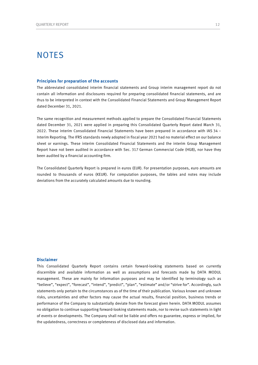### **NOTES**

#### **Principles for preparation of the accounts**

The abbreviated consolidated interim financial statements and Group interim management report do not contain all information and disclosures required for preparing consolidated financial statements, and are thus to be interpreted in context with the Consolidated Financial Statements and Group Management Report dated December 31, 2021.

The same recognition and measurement methods applied to prepare the Consolidated Financial Statements dated December 31, 2021 were applied in preparing this Consolidated Quarterly Report dated March 31, 2022. These interim Consolidated Financial Statements have been prepared in accordance with IAS 34 – Interim Reporting. The IFRS standards newly adopted in fiscal year 2021 had no material effect on our balance sheet or earnings. These interim Consolidated Financial Statements and the interim Group Management Report have not been audited in accordance with Sec. 317 German Commercial Code (HGB), nor have they been audited by a financial accounting firm.

The Consolidated Quarterly Report is prepared in euros (EUR). For presentation purposes, euro amounts are rounded to thousands of euros (KEUR). For computation purposes, the tables and notes may include deviations from the accurately calculated amounts due to rounding.

#### **Disclaimer**

This Consolidated Quarterly Report contains certain forward-looking statements based on currently discernible and available information as well as assumptions and forecasts made by DATA MODUL management. These are mainly for information purposes and may be identified by terminology such as "believe", "expect", "forecast", "intend", "predict", "plan", "estimate" and/or "strive for". Accordingly, such statements only pertain to the circumstances as of the time of their publication. Various known and unknown risks, uncertainties and other factors may cause the actual results, financial position, business trends or performance of the Company to substantially deviate from the forecast given herein. DATA MODUL assumes no obligation to continue supporting forward-looking statements made, nor to revise such statements in light of events or developments. The Company shall not be liable and offers no guarantee, express or implied, for the updatedness, correctness or completeness of disclosed data and information.